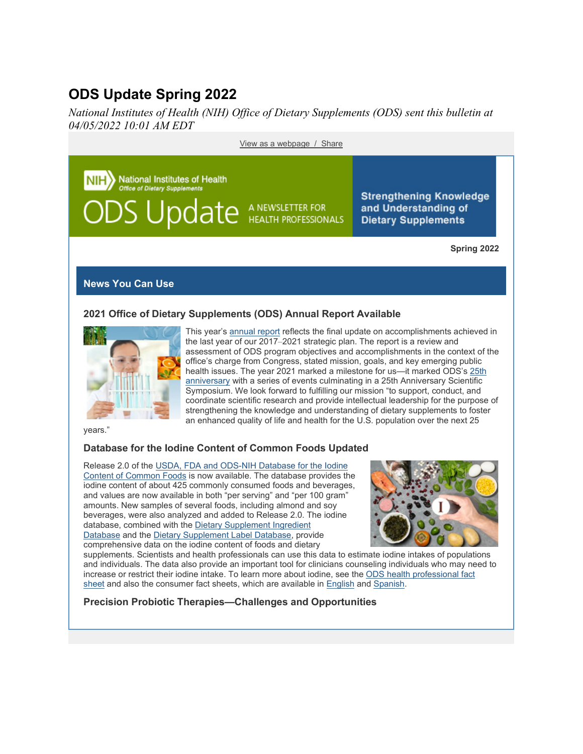# **ODS Update Spring 2022**

*National Institutes of Health (NIH) Office of Dietary Supplements (ODS) sent this bulletin at 04/05/2022 10:01 AM EDT*

[View as a webpage](https://content.govdelivery.com/accounts/USNIHODS/bulletins/311353b) / [Share](https://content.govdelivery.com/accounts/USNIHODS/bulletins/311353b) **National Institutes of Health** fice of Dietary Supplements **Strengthening Knowledge S** Update A NEWSLETTER FOR and Understanding of **Dietary Supplements Spring 2022**

#### **News You Can Use**

## **2021 Office of Dietary Supplements (ODS) Annual Report Available**



This year's [annual report](https://ods.od.nih.gov/About/StrategicPlan2017-2021.aspx?utm_medium=email&utm_source=govdelivery) reflects the final update on accomplishments achieved in the last year of our 2017*–*2021 strategic plan. The report is a review and assessment of ODS program objectives and accomplishments in the context of the office's charge from Congress, stated mission, goals, and key emerging public health issues. The year 2021 marked a milestone for us-it marked ODS's 25th [anniversary](https://ods.od.nih.gov/About/ODS25thanniversary.aspx?utm_medium=email&utm_source=govdelivery) with a series of events culminating in a 25th Anniversary Scientific Symposium. We look forward to fulfilling our mission "to support, conduct, and coordinate scientific research and provide intellectual leadership for the purpose of strengthening the knowledge and understanding of dietary supplements to foster an enhanced quality of life and health for the U.S. population over the next 25

years."

## **Database for the Iodine Content of Common Foods Updated**

Release 2.0 of the [USDA, FDA and ODS-NIH Database for the Iodine](https://www.ars.usda.gov/northeast-area/beltsville-md-bhnrc/beltsville-human-nutrition-research-center/methods-and-application-of-food-composition-laboratory/mafcl-site-pages/iodine/?utm_medium=email&utm_source=govdelivery)  [Content of Common Foods](https://www.ars.usda.gov/northeast-area/beltsville-md-bhnrc/beltsville-human-nutrition-research-center/methods-and-application-of-food-composition-laboratory/mafcl-site-pages/iodine/?utm_medium=email&utm_source=govdelivery) is now available. The database provides the iodine content of about 425 commonly consumed foods and beverages, and values are now available in both "per serving" and "per 100 gram" amounts. New samples of several foods, including almond and soy beverages, were also analyzed and added to Release 2.0. The iodine database, combined with the [Dietary Supplement Ingredient](https://dsid.od.nih.gov/?utm_medium=email&utm_source=govdelivery)  [Database](https://dsid.od.nih.gov/?utm_medium=email&utm_source=govdelivery) and the [Dietary Supplement Label Database,](https://dsld.od.nih.gov/?utm_medium=email&utm_source=govdelivery) provide comprehensive data on the iodine content of foods and dietary



supplements. Scientists and health professionals can use this data to estimate iodine intakes of populations and individuals. The data also provide an important tool for clinicians counseling individuals who may need to increase or restrict their iodine intake. To learn more about iodine, see the [ODS health professional fact](https://ods.od.nih.gov/factsheets/Iodine-HealthProfessional/?utm_medium=email&utm_source=govdelivery)  [sheet](https://ods.od.nih.gov/factsheets/Iodine-HealthProfessional/?utm_medium=email&utm_source=govdelivery) and also the consumer fact sheets, which are available in [English](https://ods.od.nih.gov/factsheets/Iodine-Consumer/?utm_medium=email&utm_source=govdelivery) and [Spanish.](https://ods.od.nih.gov/factsheets/Iodine-DatosEnEspanol/?utm_medium=email&utm_source=govdelivery)

#### **Precision Probiotic Therapies—Challenges and Opportunities**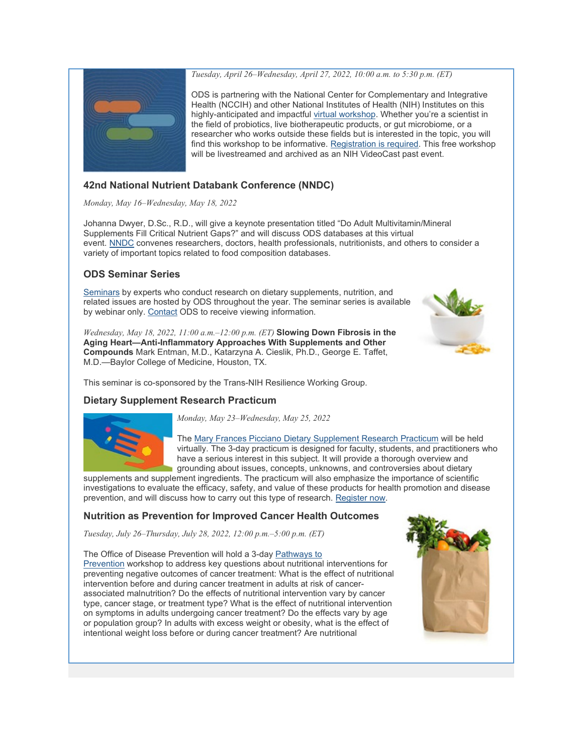

*Tuesday, April 26–Wednesday, April 27, 2022, 10:00 a.m. to 5:30 p.m. (ET)*

ODS is partnering with the National Center for Complementary and Integrative Health (NCCIH) and other National Institutes of Health (NIH) Institutes on this highly-anticipated and impactful [virtual workshop.](https://www.nccih.nih.gov/news/events/precision-probiotic-therapies-challenges-and-opportunities?nav=govd&utm_medium=email&utm_source=govdelivery) Whether you're a scientist in the field of probiotics, live biotherapeutic products, or gut microbiome, or a researcher who works outside these fields but is interested in the topic, you will find this workshop to be informative. [Registration is required.](https://www.eventbrite.com/e/precision-probiotic-therapies-challenges-and-opportunities-tickets-252269533967?utm_medium=email&utm_source=govdelivery) This free workshop will be livestreamed and archived as an NIH VideoCast past event.

## **42nd National Nutrient Databank Conference (NNDC)**

*Monday, May 16–Wednesday, May 18, 2022*

Johanna Dwyer, D.Sc., R.D., will give a keynote presentation titled "Do Adult Multivitamin/Mineral Supplements Fill Critical Nutrient Gaps?" and will discuss ODS databases at this virtual event. [NNDC](https://www.nutrientdataconf.org/conference?utm_medium=email&utm_source=govdelivery) convenes researchers, doctors, health professionals, nutritionists, and others to consider a variety of important topics related to food composition databases.

## **ODS Seminar Series**

[Seminars](https://events-support.com/Documents/ODS_Seminar_Series_2021_2022_Schedule.pdf?utm_medium=email&utm_source=govdelivery) by experts who conduct research on dietary supplements, nutrition, and related issues are hosted by ODS throughout the year. The seminar series is available by webinar only. [Contact](mailto:ODS@nih.gov) ODS to receive viewing information.

*Wednesday, May 18, 2022, 11:00 a.m.–12:00 p.m. (ET)* **Slowing Down Fibrosis in the Aging Heart—Anti-Inflammatory Approaches With Supplements and Other Compounds** Mark Entman, M.D., Katarzyna A. Cieslik, Ph.D., George E. Taffet, M.D.—Baylor College of Medicine, Houston, TX.



This seminar is co-sponsored by the Trans-NIH Resilience Working Group.

## **Dietary Supplement Research Practicum**



*Monday, May 23–Wednesday, May 25, 2022*

The [Mary Frances Picciano Dietary Supplement Research Practicum](https://odspracticum.od.nih.gov/?utm_medium=email&utm_source=govdelivery) will be held virtually. The 3-day practicum is designed for faculty, students, and practitioners who have a serious interest in this subject. It will provide a thorough overview and grounding about issues, concepts, unknowns, and controversies about dietary

supplements and supplement ingredients. The practicum will also emphasize the importance of scientific investigations to evaluate the efficacy, safety, and value of these products for health promotion and disease prevention, and will discuss how to carry out this type of research. [Register now.](https://odspracticum.od.nih.gov/awards.aspx?utm_medium=email&utm_source=govdelivery)

## **Nutrition as Prevention for Improved Cancer Health Outcomes**

*Tuesday, July 26–Thursday, July 28, 2022, 12:00 p.m.–5:00 p.m. (ET)*

The Office of Disease Prevention will hold a 3-day [Pathways to](https://prevention.nih.gov/research-priorities/research-needs-and-gaps/pathways-prevention/nutrition-prevention-improved-cancer-health-outcomes?utm_campaign=P2PNutritionCancerHealth&utm_medium=email&utm_source=govdelivery)  [Prevention](https://prevention.nih.gov/research-priorities/research-needs-and-gaps/pathways-prevention/nutrition-prevention-improved-cancer-health-outcomes?utm_campaign=P2PNutritionCancerHealth&utm_medium=email&utm_source=govdelivery) workshop to address key questions about nutritional interventions for preventing negative outcomes of cancer treatment: What is the effect of nutritional intervention before and during cancer treatment in adults at risk of cancerassociated malnutrition? Do the effects of nutritional intervention vary by cancer type, cancer stage, or treatment type? What is the effect of nutritional intervention on symptoms in adults undergoing cancer treatment? Do the effects vary by age or population group? In adults with excess weight or obesity, what is the effect of intentional weight loss before or during cancer treatment? Are nutritional

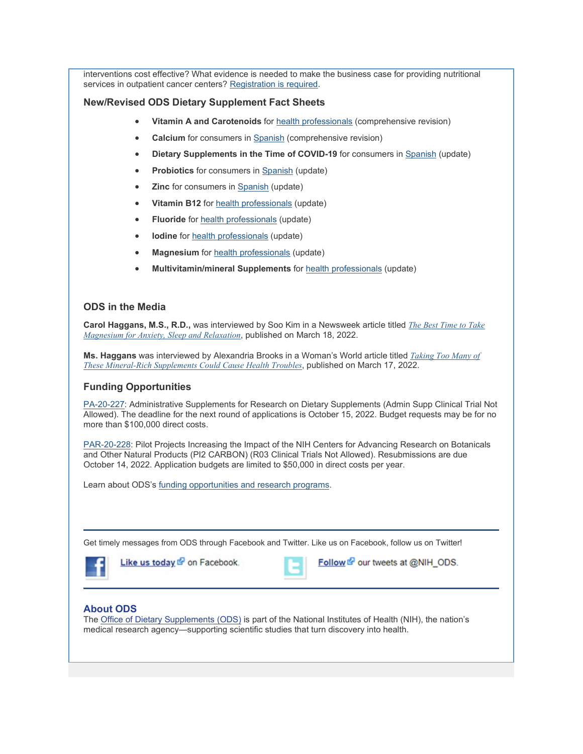interventions cost effective? What evidence is needed to make the business case for providing nutritional services in outpatient cancer centers? [Registration is required.](https://prevention.nih.gov/research-priorities/research-needs-and-gaps/pathways-prevention/nutrition-prevention-improved-cancer-health-outcomes?utm_campaign=P2PNutritionCancerHealth&utm_medium=email&utm_source=govdelivery)

#### **New/Revised ODS Dietary Supplement Fact Sheets**

- **Vitamin A and Carotenoids** for [health professionals](https://ods.od.nih.gov/factsheets/VitaminA-HealthProfessional/?utm_medium=email&utm_source=govdelivery) (comprehensive revision)
- **Calcium** for consumers in [Spanish](https://ods.od.nih.gov/factsheets/Calcium-DatosEnEspanol/?utm_medium=email&utm_source=govdelivery) (comprehensive revision)
- **Dietary Supplements in the Time of COVID-19** for consumers in [Spanish](https://ods.od.nih.gov/factsheets/COVID19-DatosEnEspanol/?utm_medium=email&utm_source=govdelivery) (update)
- **Probiotics** for consumers in [Spanish](https://ods.od.nih.gov/factsheets/Probiotics-DatosEnEspanol/?utm_medium=email&utm_source=govdelivery) (update)
- **Zinc** for consumers in [Spanish](https://ods.od.nih.gov/factsheets/Zinc-DatosEnEspanol/?utm_medium=email&utm_source=govdelivery) (update)
- **Vitamin B12** for [health professionals](https://ods.od.nih.gov/factsheets/VitaminB12-HealthProfessional/?utm_medium=email&utm_source=govdelivery) (update)
- **Fluoride** for [health professionals](https://ods.od.nih.gov/factsheets/Fluoride-HealthProfessional/?utm_medium=email&utm_source=govdelivery) (update)
- **lodine** for **health** professionals (update)
- **Magnesium** for [health professionals](https://ods.od.nih.gov/factsheets/Magnesium-HealthProfessional/?utm_medium=email&utm_source=govdelivery) (update)
- **Multivitamin/mineral Supplements** for [health professionals](https://ods.od.nih.gov/factsheets/MVMS-HealthProfessional/?utm_medium=email&utm_source=govdelivery) (update)

#### **ODS in the Media**

**Carol Haggans, M.S., R.D.,** was interviewed by Soo Kim in a Newsweek article titled *[The Best Time to Take](https://www.newsweek.com/best-time-take-magnesium-supplements-sleep-anxiety-1686365?utm_medium=email&utm_source=govdelivery)  [Magnesium for Anxiety, Sleep and Relaxation](https://www.newsweek.com/best-time-take-magnesium-supplements-sleep-anxiety-1686365?utm_medium=email&utm_source=govdelivery)*, published on March 18, 2022.

**Ms. Haggans** was interviewed by Alexandria Brooks in a Woman's World article titled *[Taking Too Many of](https://www.womansworld.com/posts/vitamins/health-risks-of-magnesium-toxicity?utm_medium=email&utm_source=govdelivery)  [These Mineral-Rich Supplements Could Cause](https://www.womansworld.com/posts/vitamins/health-risks-of-magnesium-toxicity?utm_medium=email&utm_source=govdelivery) Health Troubles*, published on March 17, 2022.

#### **Funding Opportunities**

[PA-20-227:](https://grants.nih.gov/grants/guide/pa-files/PA-20-227.html?utm_medium=email&utm_source=govdelivery) Administrative Supplements for Research on Dietary Supplements (Admin Supp Clinical Trial Not Allowed). The deadline for the next round of applications is October 15, 2022. Budget requests may be for no more than \$100,000 direct costs.

[PAR-20-228:](https://grants.nih.gov/grants/guide/pa-files/PAR-20-228.html?utm_medium=email&utm_source=govdelivery) Pilot Projects Increasing the Impact of the NIH Centers for Advancing Research on Botanicals and Other Natural Products (PI2 CARBON) (R03 Clinical Trials Not Allowed). Resubmissions are due October 14, 2022. Application budgets are limited to \$50,000 in direct costs per year.

Learn about ODS's [funding opportunities and research programs.](https://ods.od.nih.gov/Research/funding.sec.aspx?utm_medium=email&utm_source=govdelivery)

Get timely messages from ODS through Facebook and Twitter. Like us on Facebook, follow us on Twitter!



Like us today & on Facebook.



Follow & our tweets at @NIH\_ODS.

#### **About ODS**

The [Office of Dietary Supplements \(ODS\)](https://ods.od.nih.gov/?utm_medium=email&utm_source=govdelivery) is part of the National Institutes of Health (NIH), the nation's medical research agency—supporting scientific studies that turn discovery into health.